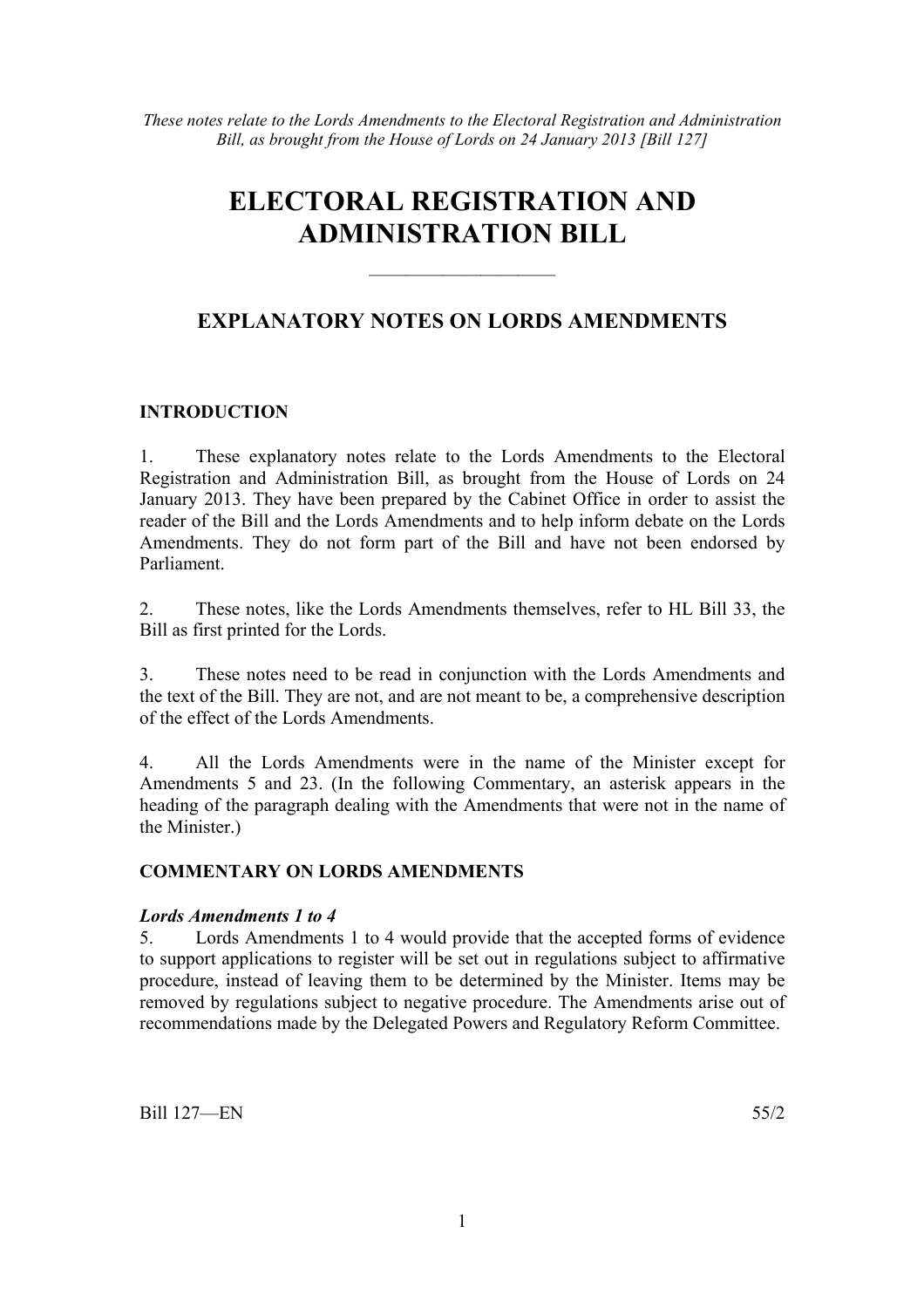*These notes relate to the Lords Amendments to the Electoral Registration and Administration Bill, as brought from the House of Lords on 24 January 2013 [Bill 127]* 

# **ELECTORAL REGISTRATION AND ADMINISTRATION BILL**

# **EXPLANATORY NOTES ON LORDS AMENDMENTS**

——————————

### **INTRODUCTION**

1. These explanatory notes relate to the Lords Amendments to the Electoral Registration and Administration Bill, as brought from the House of Lords on 24 January 2013. They have been prepared by the Cabinet Office in order to assist the reader of the Bill and the Lords Amendments and to help inform debate on the Lords Amendments. They do not form part of the Bill and have not been endorsed by Parliament.

2. These notes, like the Lords Amendments themselves, refer to HL Bill 33, the Bill as first printed for the Lords.

3. These notes need to be read in conjunction with the Lords Amendments and the text of the Bill. They are not, and are not meant to be, a comprehensive description of the effect of the Lords Amendments.

4. All the Lords Amendments were in the name of the Minister except for Amendments 5 and 23. (In the following Commentary, an asterisk appears in the heading of the paragraph dealing with the Amendments that were not in the name of the Minister.)

#### **COMMENTARY ON LORDS AMENDMENTS**

#### *Lords Amendments 1 to 4*

5. Lords Amendments 1 to 4 would provide that the accepted forms of evidence to support applications to register will be set out in regulations subject to affirmative procedure, instead of leaving them to be determined by the Minister. Items may be removed by regulations subject to negative procedure. The Amendments arise out of recommendations made by the Delegated Powers and Regulatory Reform Committee.

Bill 127—EN 55/2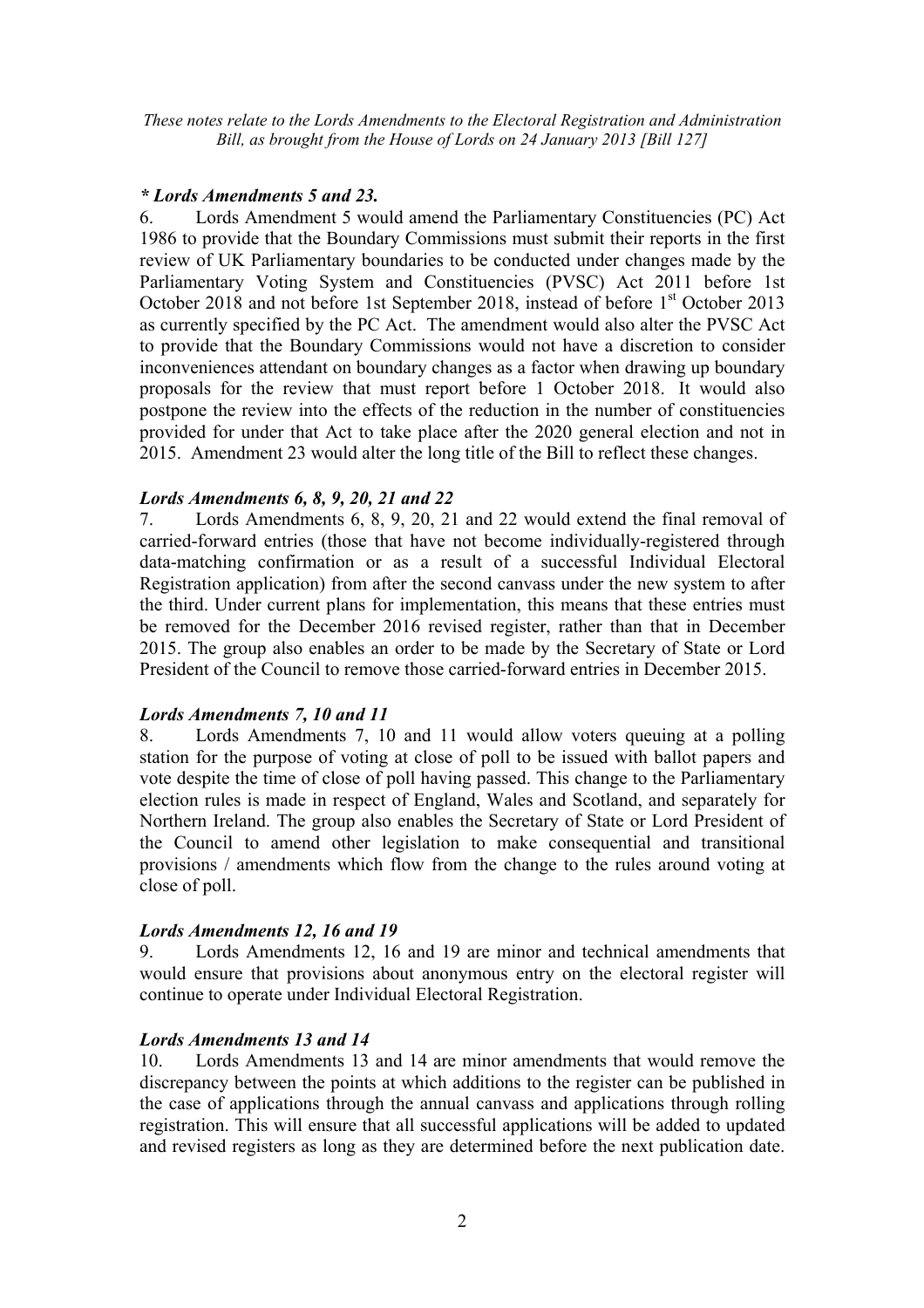*These notes relate to the Lords Amendments to the Electoral Registration and Administration Bill, as brought from the House of Lords on 24 January 2013 [Bill 127]* 

#### *\* Lords Amendments 5 and 23.*

6. Lords Amendment 5 would amend the Parliamentary Constituencies (PC) Act 1986 to provide that the Boundary Commissions must submit their reports in the first review of UK Parliamentary boundaries to be conducted under changes made by the Parliamentary Voting System and Constituencies (PVSC) Act 2011 before 1st October 2018 and not before 1st September 2018, instead of before 1<sup>st</sup> October 2013 as currently specified by the PC Act. The amendment would also alter the PVSC Act to provide that the Boundary Commissions would not have a discretion to consider inconveniences attendant on boundary changes as a factor when drawing up boundary proposals for the review that must report before 1 October 2018. It would also postpone the review into the effects of the reduction in the number of constituencies provided for under that Act to take place after the 2020 general election and not in 2015. Amendment 23 would alter the long title of the Bill to reflect these changes.

### *Lords Amendments 6, 8, 9, 20, 21 and 22*

7. Lords Amendments 6, 8, 9, 20, 21 and 22 would extend the final removal of carried-forward entries (those that have not become individually-registered through data-matching confirmation or as a result of a successful Individual Electoral Registration application) from after the second canvass under the new system to after the third. Under current plans for implementation, this means that these entries must be removed for the December 2016 revised register, rather than that in December 2015. The group also enables an order to be made by the Secretary of State or Lord President of the Council to remove those carried-forward entries in December 2015.

#### *Lords Amendments 7, 10 and 11*

8. Lords Amendments 7, 10 and 11 would allow voters queuing at a polling station for the purpose of voting at close of poll to be issued with ballot papers and vote despite the time of close of poll having passed. This change to the Parliamentary election rules is made in respect of England, Wales and Scotland, and separately for Northern Ireland. The group also enables the Secretary of State or Lord President of the Council to amend other legislation to make consequential and transitional provisions / amendments which flow from the change to the rules around voting at close of poll.

#### *Lords Amendments 12, 16 and 19*

9. Lords Amendments 12, 16 and 19 are minor and technical amendments that would ensure that provisions about anonymous entry on the electoral register will continue to operate under Individual Electoral Registration.

#### *Lords Amendments 13 and 14*

10. Lords Amendments 13 and 14 are minor amendments that would remove the discrepancy between the points at which additions to the register can be published in the case of applications through the annual canvass and applications through rolling registration. This will ensure that all successful applications will be added to updated and revised registers as long as they are determined before the next publication date.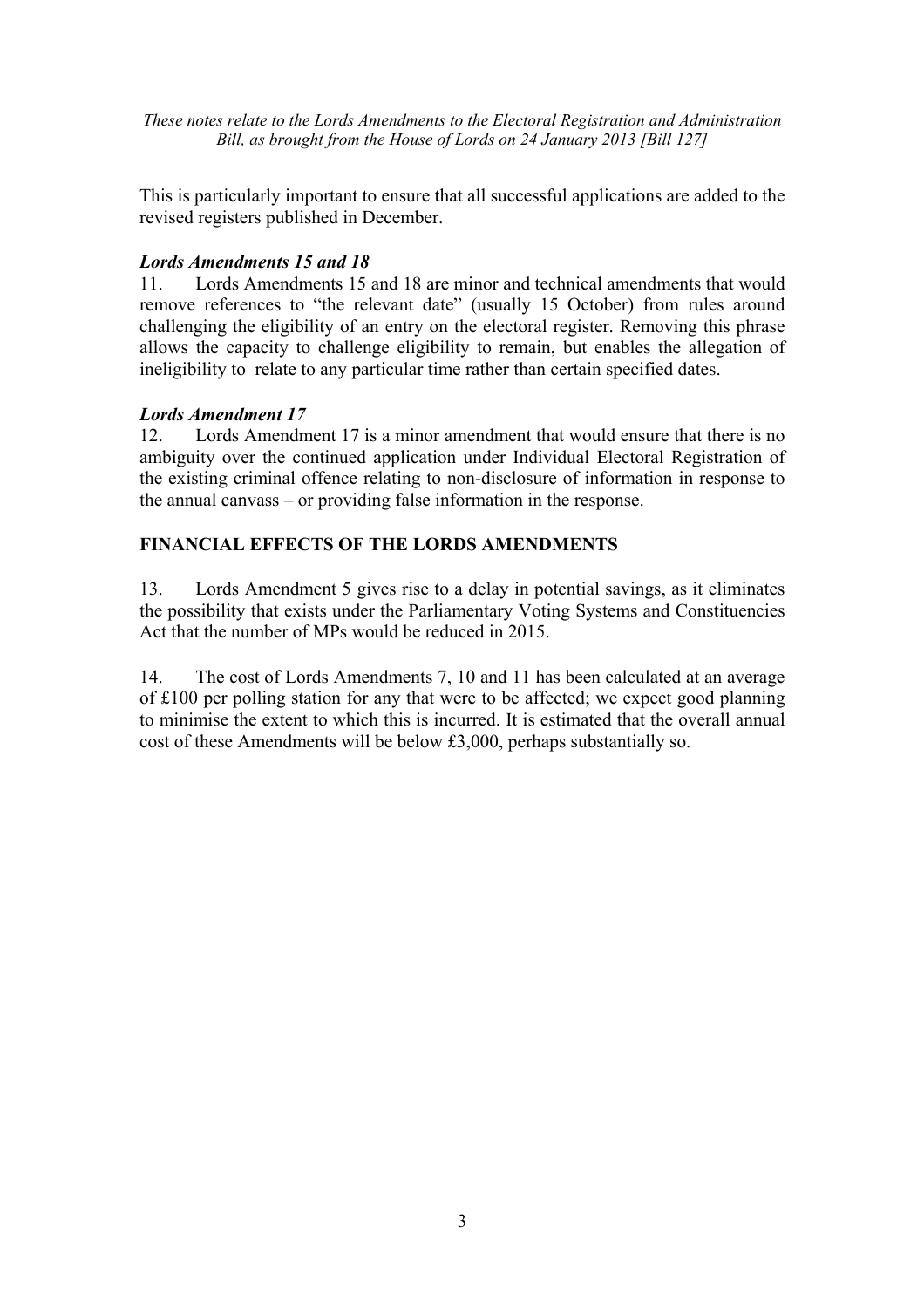*These notes relate to the Lords Amendments to the Electoral Registration and Administration Bill, as brought from the House of Lords on 24 January 2013 [Bill 127]* 

This is particularly important to ensure that all successful applications are added to the revised registers published in December.

# *Lords Amendments 15 and 18*

11. Lords Amendments 15 and 18 are minor and technical amendments that would remove references to "the relevant date" (usually 15 October) from rules around challenging the eligibility of an entry on the electoral register. Removing this phrase allows the capacity to challenge eligibility to remain, but enables the allegation of ineligibility to relate to any particular time rather than certain specified dates.

## *Lords Amendment 17*

12. Lords Amendment 17 is a minor amendment that would ensure that there is no ambiguity over the continued application under Individual Electoral Registration of the existing criminal offence relating to non-disclosure of information in response to the annual canvass – or providing false information in the response.

## **FINANCIAL EFFECTS OF THE LORDS AMENDMENTS**

13. Lords Amendment 5 gives rise to a delay in potential savings, as it eliminates the possibility that exists under the Parliamentary Voting Systems and Constituencies Act that the number of MPs would be reduced in 2015.

14. The cost of Lords Amendments 7, 10 and 11 has been calculated at an average of £100 per polling station for any that were to be affected; we expect good planning to minimise the extent to which this is incurred. It is estimated that the overall annual cost of these Amendments will be below £3,000, perhaps substantially so.